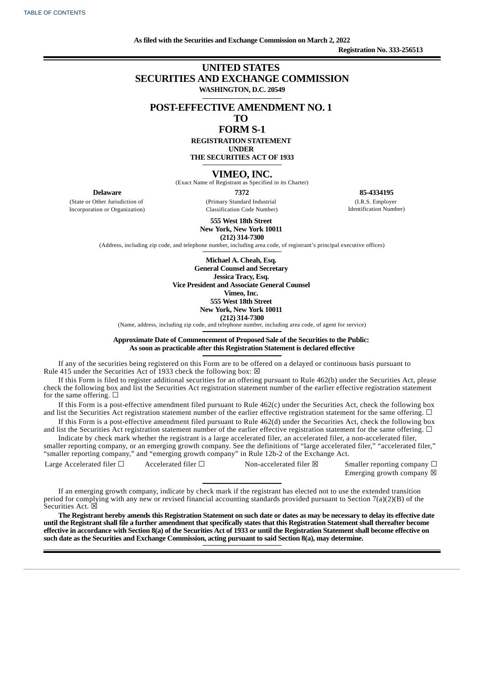**As filed with the Securities and Exchange Commission on March 2, 2022 Registration No. 333-256513**

## **UNITED STATES SECURITIES AND EXCHANGE COMMISSION WASHINGTON, D.C. 20549**

## **POST-EFFECTIVE AMENDMENT NO. 1**

## **TO**

## **FORM S-1**

**REGISTRATION STATEMENT UNDER**

**THE SECURITIES ACT OF 1933**

## **VIMEO, INC.**

(Exact Name of Registrant as Specified in its Charter)

**Delaware**

(State or Other Jurisdiction of Incorporation or Organization)

**7372** (Primary Standard Industrial Classification Code Number)

**85-4334195** (I.R.S. Employer Identification Number)

**555 West 18th Street New York, New York 10011**

**(212) 314-7300**

(Address, including zip code, and telephone number, including area code, of registrant's principal executive offices)

**Michael A. Cheah, Esq. General Counsel and Secretary Jessica Tracy, Esq. Vice President and Associate General Counsel Vimeo, Inc. 555 West 18th Street New York, New York 10011 (212) 314-7300**

(Name, address, including zip code, and telephone number, including area code, of agent for service)

### **Approximate Date of Commencement of Proposed Sale of the Securities to the Public: As soon as practicable after this Registration Statement is declared effective**

If any of the securities being registered on this Form are to be offered on a delayed or continuous basis pursuant to Rule 415 under the Securities Act of 1933 check the following box:  $\boxtimes$ 

If this Form is filed to register additional securities for an offering pursuant to Rule 462(b) under the Securities Act, please check the following box and list the Securities Act registration statement number of the earlier effective registration statement for the same offering.  $\Box$ 

If this Form is a post-effective amendment filed pursuant to Rule 462(c) under the Securities Act, check the following box and list the Securities Act registration statement number of the earlier effective registration statement for the same offering.  $\Box$ 

If this Form is a post-effective amendment filed pursuant to Rule 462(d) under the Securities Act, check the following box and list the Securities Act registration statement number of the earlier effective registration statement for the same offering.  $\Box$ 

Indicate by check mark whether the registrant is a large accelerated filer, an accelerated filer, a non-accelerated filer, smaller reporting company, or an emerging growth company. See the definitions of "large accelerated filer," "accelerated filer," "smaller reporting company," and "emerging growth company" in Rule 12b-2 of the Exchange Act.

Large Accelerated filer  $\Box$  Accelerated filer  $\Box$  Non-accelerated filer  $\boxtimes$  Smaller reporting company  $\Box$ Emerging growth company  $\boxtimes$ 

If an emerging growth company, indicate by check mark if the registrant has elected not to use the extended transition period for complying with any new or revised financial accounting standards provided pursuant to Section 7(a)(2)(B) of the Securities Act.  $\boxtimes$ 

The Registrant hereby amends this Registration Statement on such date or dates as may be necessary to delay its effective date until the Registrant shall file a further amendment that specifically states that this Registration Statement shall thereafter become effective in accordance with Section 8(a) of the Securities Act of 1933 or until the Registration Statement shall become effective on **such date as the Securities and Exchange Commission, acting pursuant to said Section 8(a), may determine.**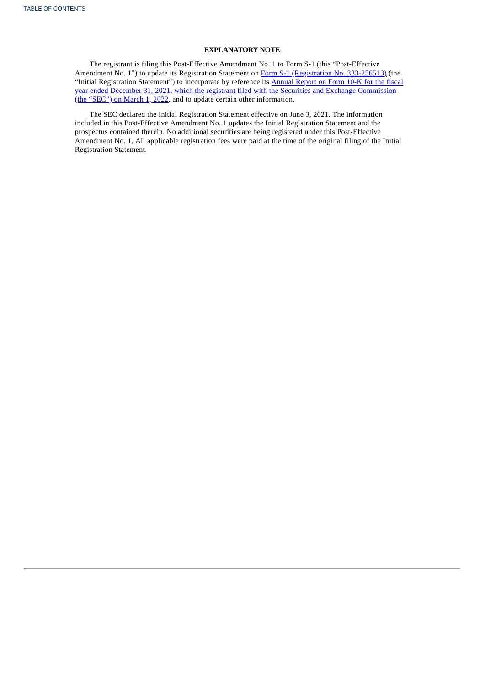## **EXPLANATORY NOTE**

The registrant is filing this Post-Effective Amendment No. 1 to Form S-1 (this "Post-Effective Amendment No. 1") to update its Registration Statement on Form S-1 [\(Registration](https://www.sec.gov/Archives/edgar/data/1837686/000110465921072526/tm2116929-1_s1.htm) No. 333-256513) (the "Initial Registration Statement") to incorporate by reference its Annual Report on Form 10-K for the fiscal year ended December 31, 2021, which the registrant filed with the Securities and Exchange [Commission](http://www.sec.gov/ix?doc=/Archives/edgar/data/1837686/000183768622000006/vmeo-20211231.htm) (the "SEC") on March 1, 2022, and to update certain other information.

The SEC declared the Initial Registration Statement effective on June 3, 2021. The information included in this Post-Effective Amendment No. 1 updates the Initial Registration Statement and the prospectus contained therein. No additional securities are being registered under this Post-Effective Amendment No. 1. All applicable registration fees were paid at the time of the original filing of the Initial Registration Statement.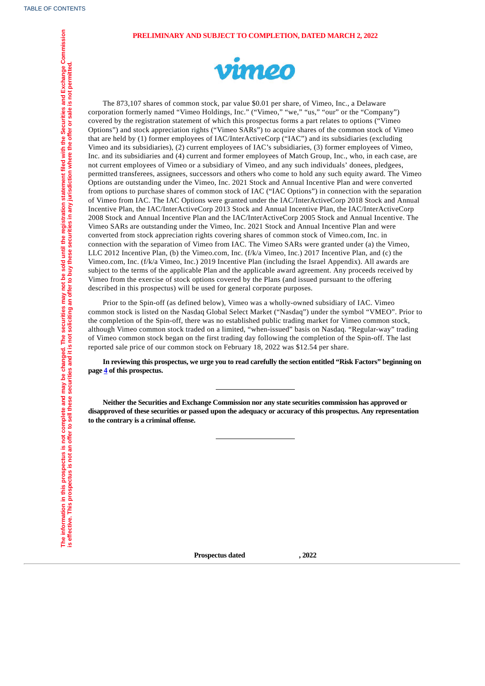### **PRELIMINARY AND SUBJECT TO COMPLETION, DATED MARCH 2, 2022**



The 873,107 shares of common stock, par value \$0.01 per share, of Vimeo, Inc., a Delaware corporation formerly named "Vimeo Holdings, Inc." ("Vimeo," "we," "us," "our" or the "Company") covered by the registration statement of which this prospectus forms a part relates to options ("Vimeo Options") and stock appreciation rights ("Vimeo SARs") to acquire shares of the common stock of Vimeo that are held by (1) former employees of IAC/InterActiveCorp ("IAC") and its subsidiaries (excluding Vimeo and its subsidiaries), (2) current employees of IAC's subsidiaries, (3) former employees of Vimeo, Inc. and its subsidiaries and (4) current and former employees of Match Group, Inc., who, in each case, are not current employees of Vimeo or a subsidiary of Vimeo, and any such individuals' donees, pledgees, permitted transferees, assignees, successors and others who come to hold any such equity award. The Vimeo Options are outstanding under the Vimeo, Inc. 2021 Stock and Annual Incentive Plan and were converted from options to purchase shares of common stock of IAC ("IAC Options") in connection with the separation of Vimeo from IAC. The IAC Options were granted under the IAC/InterActiveCorp 2018 Stock and Annual Incentive Plan, the IAC/InterActiveCorp 2013 Stock and Annual Incentive Plan, the IAC/InterActiveCorp 2008 Stock and Annual Incentive Plan and the IAC/InterActiveCorp 2005 Stock and Annual Incentive. The Vimeo SARs are outstanding under the Vimeo, Inc. 2021 Stock and Annual Incentive Plan and were converted from stock appreciation rights covering shares of common stock of Vimeo.com, Inc. in connection with the separation of Vimeo from IAC. The Vimeo SARs were granted under (a) the Vimeo, LLC 2012 Incentive Plan, (b) the Vimeo.com, Inc. (f/k/a Vimeo, Inc.) 2017 Incentive Plan, and (c) the Vimeo.com, Inc. (f/k/a Vimeo, Inc.) 2019 Incentive Plan (including the Israel Appendix). All awards are subject to the terms of the applicable Plan and the applicable award agreement. Any proceeds received by Vimeo from the exercise of stock options covered by the Plans (and issued pursuant to the offering described in this prospectus) will be used for general corporate purposes.

Prior to the Spin-off (as defined below), Vimeo was a wholly-owned subsidiary of IAC. Vimeo common stock is listed on the Nasdaq Global Select Market ("Nasdaq") under the symbol "VMEO". Prior to the completion of the Spin-off, there was no established public trading market for Vimeo common stock, although Vimeo common stock traded on a limited, "when-issued" basis on Nasdaq. "Regular-way" trading of Vimeo common stock began on the first trading day following the completion of the Spin-off. The last reported sale price of our common stock on February 18, 2022 was \$12.54 per share.

In reviewing this prospectus, we urge you to read carefully the section entitled "Risk Factors" beginning on **page [4](#page-8-0) of this prospectus.**

**Neither the Securities and Exchange Commission nor any state securities commission has approved or disapproved of these securities or passed upon the adequacy or accuracy of this prospectus. Any representation to the contrary is a criminal offense.**

<span id="page-2-0"></span>**Prospectus dated , 2022**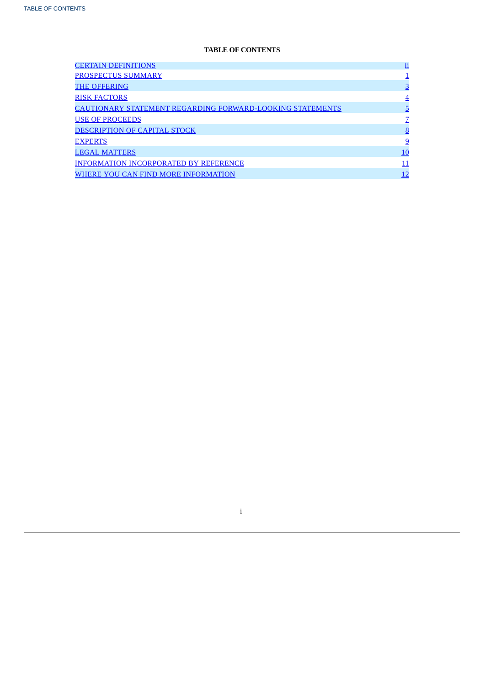## **TABLE OF CONTENTS**

| <b>CERTAIN DEFINITIONS</b>                                       | $\overline{\mathbf{u}}$ |
|------------------------------------------------------------------|-------------------------|
| PROSPECTUS SUMMARY                                               |                         |
| <b>THE OFFERING</b>                                              | $\overline{3}$          |
| <b>RISK FACTORS</b>                                              | $\overline{4}$          |
| <b>CAUTIONARY STATEMENT REGARDING FORWARD-LOOKING STATEMENTS</b> | 5                       |
| <b>USE OF PROCEEDS</b>                                           |                         |
| <b>DESCRIPTION OF CAPITAL STOCK</b>                              | 8                       |
| <b>EXPERTS</b>                                                   | <u>9</u>                |
| <b>LEGAL MATTERS</b>                                             | <u>10</u>               |
| <b>INFORMATION INCORPORATED BY REFERENCE</b>                     | 11                      |
| WHERE YOU CAN FIND MORE INFORMATION                              | 12                      |

<span id="page-3-0"></span>i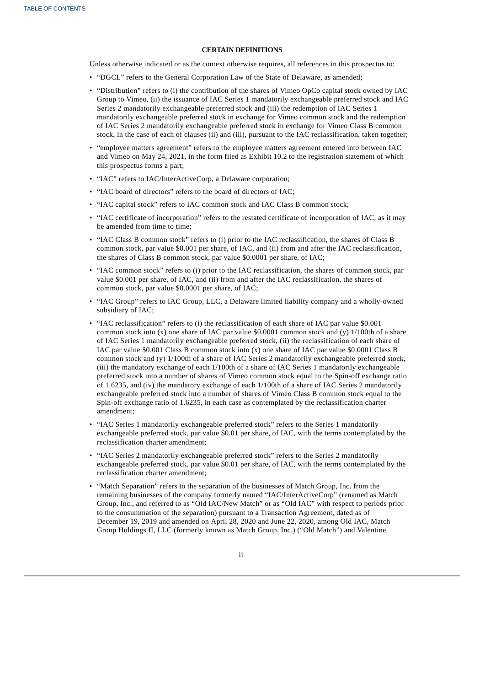## **CERTAIN DEFINITIONS**

Unless otherwise indicated or as the context otherwise requires, all references in this prospectus to:

- "DGCL" refers to the General Corporation Law of the State of Delaware, as amended;
- "Distribution" refers to (i) the contribution of the shares of Vimeo OpCo capital stock owned by IAC Group to Vimeo, (ii) the issuance of IAC Series 1 mandatorily exchangeable preferred stock and IAC Series 2 mandatorily exchangeable preferred stock and (iii) the redemption of IAC Series 1 mandatorily exchangeable preferred stock in exchange for Vimeo common stock and the redemption of IAC Series 2 mandatorily exchangeable preferred stock in exchange for Vimeo Class B common stock, in the case of each of clauses (ii) and (iii), pursuant to the IAC reclassification, taken together;
- "employee matters agreement" refers to the employee matters agreement entered into between IAC and Vimeo on May 24, 2021, in the form filed as Exhibit 10.2 to the registration statement of which this prospectus forms a part;
- "IAC" refers to IAC/InterActiveCorp, a Delaware corporation;
- "IAC board of directors" refers to the board of directors of IAC;
- "IAC capital stock" refers to IAC common stock and IAC Class B common stock;
- "IAC certificate of incorporation" refers to the restated certificate of incorporation of IAC, as it may be amended from time to time;
- "IAC Class B common stock" refers to (i) prior to the IAC reclassification, the shares of Class B common stock, par value \$0.001 per share, of IAC, and (ii) from and after the IAC reclassification, the shares of Class B common stock, par value \$0.0001 per share, of IAC;
- "IAC common stock" refers to (i) prior to the IAC reclassification, the shares of common stock, par value \$0.001 per share, of IAC, and (ii) from and after the IAC reclassification, the shares of common stock, par value \$0.0001 per share, of IAC;
- "IAC Group" refers to IAC Group, LLC, a Delaware limited liability company and a wholly-owned subsidiary of IAC;
- "IAC reclassification" refers to (i) the reclassification of each share of IAC par value \$0.001 common stock into  $(x)$  one share of IAC par value \$0.0001 common stock and  $(y)$  1/100th of a share of IAC Series 1 mandatorily exchangeable preferred stock, (ii) the reclassification of each share of IAC par value \$0.001 Class B common stock into (x) one share of IAC par value \$0.0001 Class B common stock and (y) 1/100th of a share of IAC Series 2 mandatorily exchangeable preferred stock, (iii) the mandatory exchange of each 1/100th of a share of IAC Series 1 mandatorily exchangeable preferred stock into a number of shares of Vimeo common stock equal to the Spin-off exchange ratio of 1.6235, and (iv) the mandatory exchange of each 1/100th of a share of IAC Series 2 mandatorily exchangeable preferred stock into a number of shares of Vimeo Class B common stock equal to the Spin-off exchange ratio of 1.6235, in each case as contemplated by the reclassification charter amendment;
- "IAC Series 1 mandatorily exchangeable preferred stock" refers to the Series 1 mandatorily exchangeable preferred stock, par value \$0.01 per share, of IAC, with the terms contemplated by the reclassification charter amendment;
- "IAC Series 2 mandatorily exchangeable preferred stock" refers to the Series 2 mandatorily exchangeable preferred stock, par value \$0.01 per share, of IAC, with the terms contemplated by the reclassification charter amendment;
- "Match Separation" refers to the separation of the businesses of Match Group, Inc. from the remaining businesses of the company formerly named "IAC/InterActiveCorp" (renamed as Match Group, Inc., and referred to as "Old IAC/New Match" or as "Old IAC" with respect to periods prior to the consummation of the separation) pursuant to a Transaction Agreement, dated as of December 19, 2019 and amended on April 28, 2020 and June 22, 2020, among Old IAC, Match Group Holdings II, LLC (formerly known as Match Group, Inc.) ("Old Match") and Valentine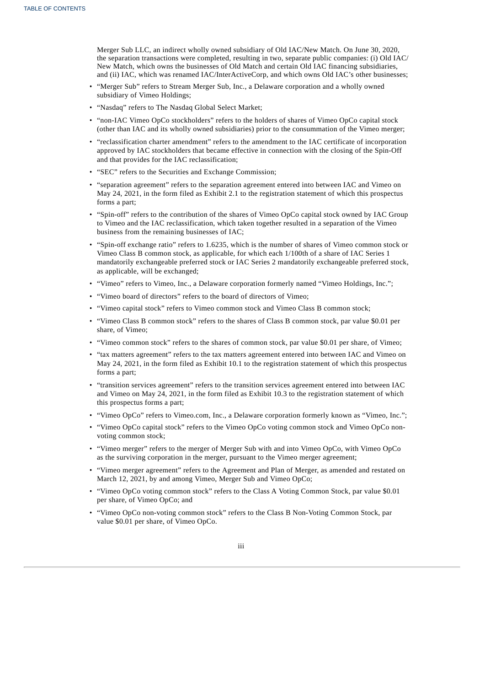Merger Sub LLC, an indirect wholly owned subsidiary of Old IAC/New Match. On June 30, 2020, the separation transactions were completed, resulting in two, separate public companies: (i) Old IAC/ New Match, which owns the businesses of Old Match and certain Old IAC financing subsidiaries, and (ii) IAC, which was renamed IAC/InterActiveCorp, and which owns Old IAC's other businesses;

- "Merger Sub" refers to Stream Merger Sub, Inc., a Delaware corporation and a wholly owned subsidiary of Vimeo Holdings;
- "Nasdaq" refers to The Nasdaq Global Select Market;
- "non-IAC Vimeo OpCo stockholders" refers to the holders of shares of Vimeo OpCo capital stock (other than IAC and its wholly owned subsidiaries) prior to the consummation of the Vimeo merger;
- "reclassification charter amendment" refers to the amendment to the IAC certificate of incorporation approved by IAC stockholders that became effective in connection with the closing of the Spin-Off and that provides for the IAC reclassification;
- "SEC" refers to the Securities and Exchange Commission;
- "separation agreement" refers to the separation agreement entered into between IAC and Vimeo on May 24, 2021, in the form filed as Exhibit 2.1 to the registration statement of which this prospectus forms a part;
- "Spin-off" refers to the contribution of the shares of Vimeo OpCo capital stock owned by IAC Group to Vimeo and the IAC reclassification, which taken together resulted in a separation of the Vimeo business from the remaining businesses of IAC;
- "Spin-off exchange ratio" refers to 1.6235, which is the number of shares of Vimeo common stock or Vimeo Class B common stock, as applicable, for which each 1/100th of a share of IAC Series 1 mandatorily exchangeable preferred stock or IAC Series 2 mandatorily exchangeable preferred stock, as applicable, will be exchanged;
- "Vimeo" refers to Vimeo, Inc., a Delaware corporation formerly named "Vimeo Holdings, Inc.";
- "Vimeo board of directors" refers to the board of directors of Vimeo;
- "Vimeo capital stock" refers to Vimeo common stock and Vimeo Class B common stock;
- "Vimeo Class B common stock" refers to the shares of Class B common stock, par value \$0.01 per share, of Vimeo;
- "Vimeo common stock" refers to the shares of common stock, par value \$0.01 per share, of Vimeo;
- "tax matters agreement" refers to the tax matters agreement entered into between IAC and Vimeo on May 24, 2021, in the form filed as Exhibit 10.1 to the registration statement of which this prospectus forms a part;
- "transition services agreement" refers to the transition services agreement entered into between IAC and Vimeo on May 24, 2021, in the form filed as Exhibit 10.3 to the registration statement of which this prospectus forms a part;
- "Vimeo OpCo" refers to Vimeo.com, Inc., a Delaware corporation formerly known as "Vimeo, Inc.";
- "Vimeo OpCo capital stock" refers to the Vimeo OpCo voting common stock and Vimeo OpCo nonvoting common stock;
- "Vimeo merger" refers to the merger of Merger Sub with and into Vimeo OpCo, with Vimeo OpCo as the surviving corporation in the merger, pursuant to the Vimeo merger agreement;
- "Vimeo merger agreement" refers to the Agreement and Plan of Merger, as amended and restated on March 12, 2021, by and among Vimeo, Merger Sub and Vimeo OpCo;
- "Vimeo OpCo voting common stock" refers to the Class A Voting Common Stock, par value \$0.01 per share, of Vimeo OpCo; and
- <span id="page-5-0"></span>• "Vimeo OpCo non-voting common stock" refers to the Class B Non-Voting Common Stock, par value \$0.01 per share, of Vimeo OpCo.

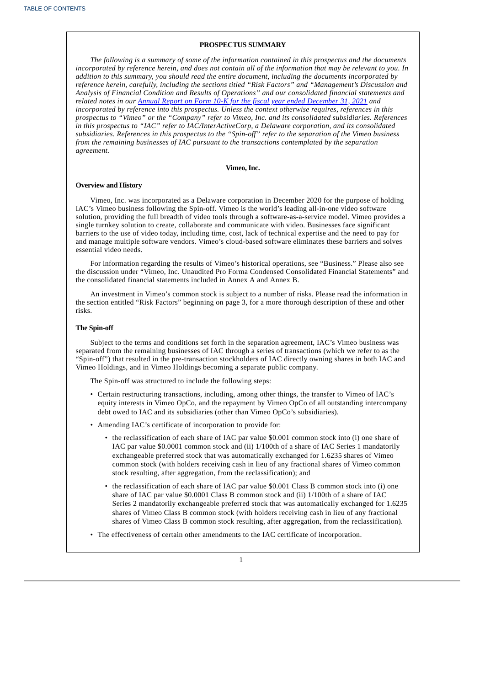#### **PROSPECTUS SUMMARY**

*The following is a summary of some of the information contained in this prospectus and the documents* incorporated by reference herein, and does not contain all of the information that may be relevant to you. In *addition to this summary, you should read the entire document, including the documents incorporated by reference herein, carefully, including the sections titled "Risk Factors" and "Management's Discussion and Analysis of Financial Condition and Results of Operations" and our consolidated financial statements and related notes in our Annual Report on Form 10-K for the fiscal year ended [December](http://www.sec.gov/ix?doc=/Archives/edgar/data/1837686/000183768622000006/vmeo-20211231.htm) 31, 2021 and incorporated by reference into this prospectus. Unless the context otherwise requires, references in this prospectus to "Vimeo" or the "Company" refer to Vimeo, Inc. and its consolidated subsidiaries. References in this prospectus to "IAC" refer to IAC/InterActiveCorp, a Delaware corporation, and its consolidated subsidiaries. References in this prospectus to the "Spin-off" refer to the separation of the Vimeo business from the remaining businesses of IAC pursuant to the transactions contemplated by the separation agreement.*

### **Vimeo, Inc.**

#### **Overview and History**

Vimeo, Inc. was incorporated as a Delaware corporation in December 2020 for the purpose of holding IAC's Vimeo business following the Spin-off. Vimeo is the world's leading all-in-one video software solution, providing the full breadth of video tools through a software-as-a-service model. Vimeo provides a single turnkey solution to create, collaborate and communicate with video. Businesses face significant barriers to the use of video today, including time, cost, lack of technical expertise and the need to pay for and manage multiple software vendors. Vimeo's cloud-based software eliminates these barriers and solves essential video needs.

For information regarding the results of Vimeo's historical operations, see "Business." Please also see the discussion under "Vimeo, Inc. Unaudited Pro Forma Condensed Consolidated Financial Statements" and the consolidated financial statements included in Annex A and Annex B.

An investment in Vimeo's common stock is subject to a number of risks. Please read the information in the section entitled "Risk Factors" beginning on page 3, for a more thorough description of these and other risks.

### **The Spin-off**

Subject to the terms and conditions set forth in the separation agreement, IAC's Vimeo business was separated from the remaining businesses of IAC through a series of transactions (which we refer to as the "Spin-off") that resulted in the pre-transaction stockholders of IAC directly owning shares in both IAC and Vimeo Holdings, and in Vimeo Holdings becoming a separate public company.

The Spin-off was structured to include the following steps:

- Certain restructuring transactions, including, among other things, the transfer to Vimeo of IAC's equity interests in Vimeo OpCo, and the repayment by Vimeo OpCo of all outstanding intercompany debt owed to IAC and its subsidiaries (other than Vimeo OpCo's subsidiaries).
- Amending IAC's certificate of incorporation to provide for:
	- the reclassification of each share of IAC par value \$0.001 common stock into (i) one share of IAC par value \$0.0001 common stock and (ii) 1/100th of a share of IAC Series 1 mandatorily exchangeable preferred stock that was automatically exchanged for 1.6235 shares of Vimeo common stock (with holders receiving cash in lieu of any fractional shares of Vimeo common stock resulting, after aggregation, from the reclassification); and
	- the reclassification of each share of IAC par value \$0.001 Class B common stock into (i) one share of IAC par value \$0.0001 Class B common stock and (ii) 1/100th of a share of IAC Series 2 mandatorily exchangeable preferred stock that was automatically exchanged for 1.6235 shares of Vimeo Class B common stock (with holders receiving cash in lieu of any fractional shares of Vimeo Class B common stock resulting, after aggregation, from the reclassification).
- The effectiveness of certain other amendments to the IAC certificate of incorporation.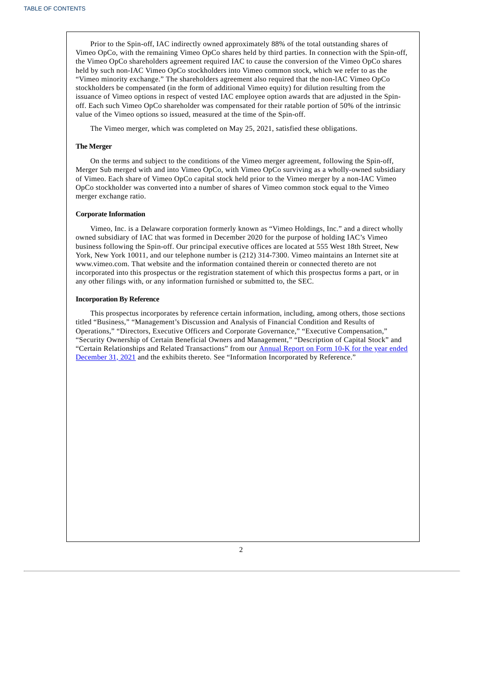Prior to the Spin-off, IAC indirectly owned approximately 88% of the total outstanding shares of Vimeo OpCo, with the remaining Vimeo OpCo shares held by third parties. In connection with the Spin-off, the Vimeo OpCo shareholders agreement required IAC to cause the conversion of the Vimeo OpCo shares held by such non-IAC Vimeo OpCo stockholders into Vimeo common stock, which we refer to as the "Vimeo minority exchange." The shareholders agreement also required that the non-lAC Vimeo OpCo stockholders be compensated (in the form of additional Vimeo equity) for dilution resulting from the issuance of Vimeo options in respect of vested IAC employee option awards that are adjusted in the Spinoff. Each such Vimeo OpCo shareholder was compensated for their ratable portion of 50% of the intrinsic value of the Vimeo options so issued, measured at the time of the Spin-off.

The Vimeo merger, which was completed on May 25, 2021, satisfied these obligations.

## **The Merger**

On the terms and subject to the conditions of the Vimeo merger agreement, following the Spin-off, Merger Sub merged with and into Vimeo OpCo, with Vimeo OpCo surviving as a wholly-owned subsidiary of Vimeo. Each share of Vimeo OpCo capital stock held prior to the Vimeo merger by a non-IAC Vimeo OpCo stockholder was converted into a number of shares of Vimeo common stock equal to the Vimeo merger exchange ratio.

#### **Corporate Information**

Vimeo, Inc. is a Delaware corporation formerly known as "Vimeo Holdings, Inc." and a direct wholly owned subsidiary of IAC that was formed in December 2020 for the purpose of holding IAC's Vimeo business following the Spin-off. Our principal executive offices are located at 555 West 18th Street, New York, New York 10011, and our telephone number is (212) 314-7300. Vimeo maintains an Internet site at www.vimeo.com. That website and the information contained therein or connected thereto are not incorporated into this prospectus or the registration statement of which this prospectus forms a part, or in any other filings with, or any information furnished or submitted to, the SEC.

### **Incorporation By Reference**

<span id="page-7-0"></span>This prospectus incorporates by reference certain information, including, among others, those sections titled "Business," "Management's Discussion and Analysis of Financial Condition and Results of Operations," "Directors, Executive Officers and Corporate Governance," "Executive Compensation," "Security Ownership of Certain Beneficial Owners and Management," "Description of Capital Stock" and "Certain Relationships and Related [Transactions"](http://www.sec.gov/ix?doc=/Archives/edgar/data/1837686/000183768622000006/vmeo-20211231.htm) from our **Annual Report on Form 10-K for the year ended** December 31, 2021 and the exhibits thereto. See "Information Incorporated by Reference."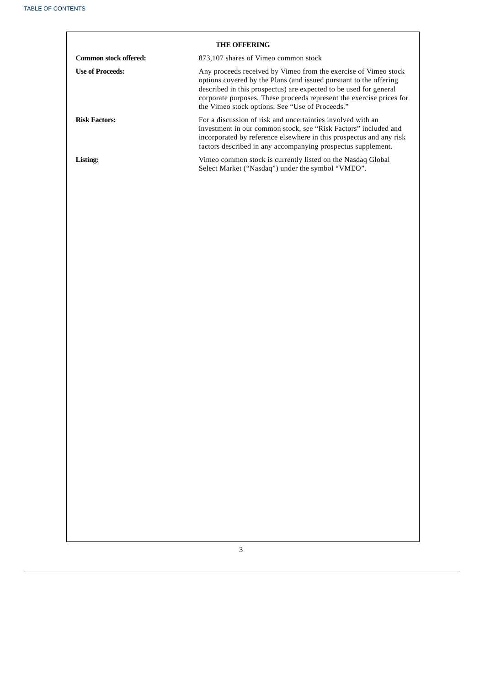<span id="page-8-0"></span>

| <b>THE OFFERING</b>     |                                                                                                                                                                                                                                                                                                                                      |  |  |
|-------------------------|--------------------------------------------------------------------------------------------------------------------------------------------------------------------------------------------------------------------------------------------------------------------------------------------------------------------------------------|--|--|
| Common stock offered:   | 873,107 shares of Vimeo common stock                                                                                                                                                                                                                                                                                                 |  |  |
| <b>Use of Proceeds:</b> | Any proceeds received by Vimeo from the exercise of Vimeo stock<br>options covered by the Plans (and issued pursuant to the offering<br>described in this prospectus) are expected to be used for general<br>corporate purposes. These proceeds represent the exercise prices for<br>the Vimeo stock options. See "Use of Proceeds." |  |  |
| <b>Risk Factors:</b>    | For a discussion of risk and uncertainties involved with an<br>investment in our common stock, see "Risk Factors" included and<br>incorporated by reference elsewhere in this prospectus and any risk<br>factors described in any accompanying prospectus supplement.                                                                |  |  |
| Listing:                | Vimeo common stock is currently listed on the Nasdaq Global<br>Select Market ("Nasdaq") under the symbol "VMEO".                                                                                                                                                                                                                     |  |  |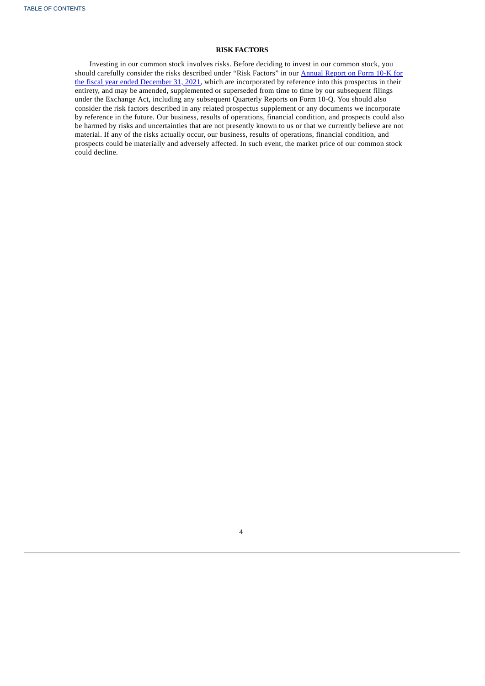## **RISK FACTORS**

<span id="page-9-0"></span>Investing in our common stock involves risks. Before deciding to invest in our common stock, you should carefully consider the risks described under "Risk Factors" in our **Annual Report on Form 10-K for** the fiscal year ended December 31, 2021, which are [incorporated](http://www.sec.gov/ix?doc=/Archives/edgar/data/1837686/000183768622000006/vmeo-20211231.htm) by reference into this prospectus in their entirety, and may be amended, supplemented or superseded from time to time by our subsequent filings under the Exchange Act, including any subsequent Quarterly Reports on Form 10-Q. You should also consider the risk factors described in any related prospectus supplement or any documents we incorporate by reference in the future. Our business, results of operations, financial condition, and prospects could also be harmed by risks and uncertainties that are not presently known to us or that we currently believe are not material. If any of the risks actually occur, our business, results of operations, financial condition, and prospects could be materially and adversely affected. In such event, the market price of our common stock could decline.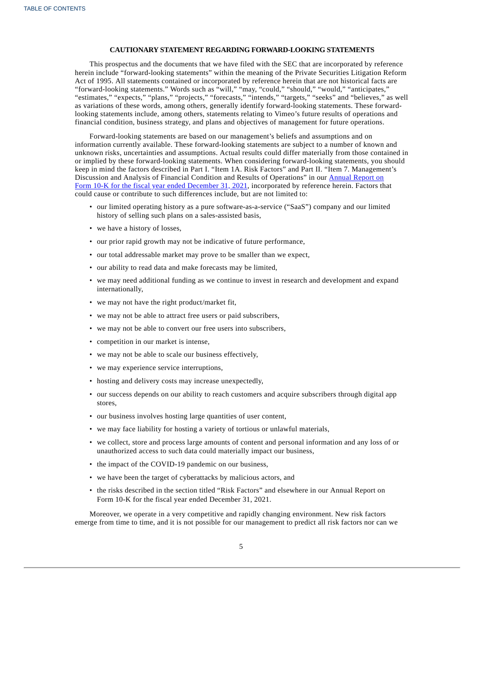### **CAUTIONARY STATEMENT REGARDING FORWARD-LOOKING STATEMENTS**

This prospectus and the documents that we have filed with the SEC that are incorporated by reference herein include "forward-looking statements" within the meaning of the Private Securities Litigation Reform Act of 1995. All statements contained or incorporated by reference herein that are not historical facts are "forward-looking statements." Words such as "will," "may, "could," "should," "would," "anticipates," "estimates," "expects," "plans," "projects," "forecasts," "intends," "targets," "seeks" and "believes," as well as variations of these words, among others, generally identify forward-looking statements. These forwardlooking statements include, among others, statements relating to Vimeo's future results of operations and financial condition, business strategy, and plans and objectives of management for future operations.

Forward-looking statements are based on our management's beliefs and assumptions and on information currently available. These forward-looking statements are subject to a number of known and unknown risks, uncertainties and assumptions. Actual results could differ materially from those contained in or implied by these forward-looking statements. When considering forward-looking statements, you should keep in mind the factors described in Part I. "Item 1A. Risk Factors" and Part II. "Item 7. Management's Discussion and Analysis of Financial Condition and Results of Operations" in our Annual Report on Form 10-K for the fiscal year ended December 31, 2021, [incorporated](http://www.sec.gov/ix?doc=/Archives/edgar/data/1837686/000183768622000006/vmeo-20211231.htm) by reference herein. Factors that could cause or contribute to such differences include, but are not limited to:

- our limited operating history as a pure software-as-a-service ("SaaS") company and our limited history of selling such plans on a sales-assisted basis,
- we have a history of losses,
- our prior rapid growth may not be indicative of future performance,
- our total addressable market may prove to be smaller than we expect,
- our ability to read data and make forecasts may be limited,
- we may need additional funding as we continue to invest in research and development and expand internationally,
- we may not have the right product/market fit,
- we may not be able to attract free users or paid subscribers,
- we may not be able to convert our free users into subscribers,
- competition in our market is intense,
- we may not be able to scale our business effectively,
- we may experience service interruptions,
- hosting and delivery costs may increase unexpectedly,
- our success depends on our ability to reach customers and acquire subscribers through digital app stores,
- our business involves hosting large quantities of user content,
- we may face liability for hosting a variety of tortious or unlawful materials,
- we collect, store and process large amounts of content and personal information and any loss of or unauthorized access to such data could materially impact our business,
- the impact of the COVID-19 pandemic on our business,
- we have been the target of cyberattacks by malicious actors, and
- the risks described in the section titled "Risk Factors" and elsewhere in our Annual Report on Form 10-K for the fiscal year ended December 31, 2021.

Moreover, we operate in a very competitive and rapidly changing environment. New risk factors emerge from time to time, and it is not possible for our management to predict all risk factors nor can we

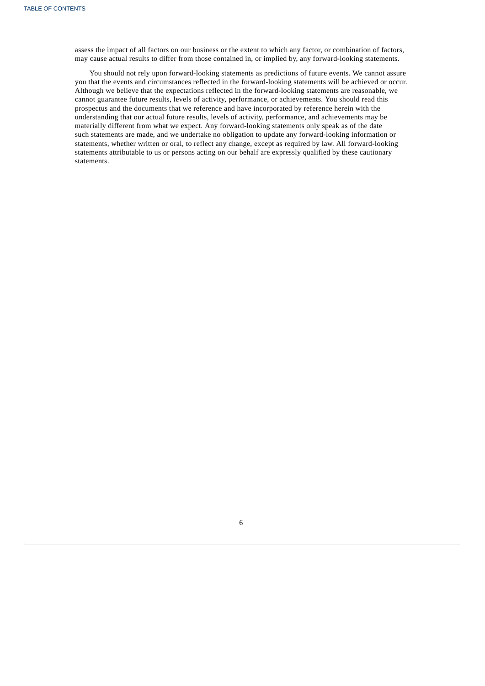assess the impact of all factors on our business or the extent to which any factor, or combination of factors, may cause actual results to differ from those contained in, or implied by, any forward-looking statements.

<span id="page-11-0"></span>You should not rely upon forward-looking statements as predictions of future events. We cannot assure you that the events and circumstances reflected in the forward-looking statements will be achieved or occur. Although we believe that the expectations reflected in the forward-looking statements are reasonable, we cannot guarantee future results, levels of activity, performance, or achievements. You should read this prospectus and the documents that we reference and have incorporated by reference herein with the understanding that our actual future results, levels of activity, performance, and achievements may be materially different from what we expect. Any forward-looking statements only speak as of the date such statements are made, and we undertake no obligation to update any forward-looking information or statements, whether written or oral, to reflect any change, except as required by law. All forward-looking statements attributable to us or persons acting on our behalf are expressly qualified by these cautionary statements.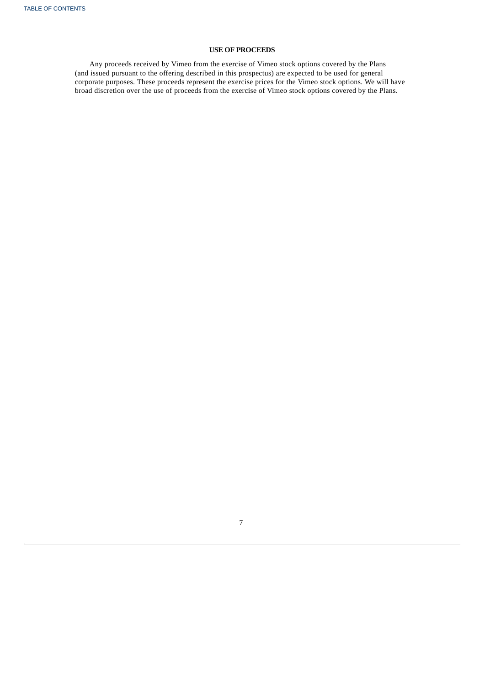## **USE OF PROCEEDS**

<span id="page-12-0"></span>Any proceeds received by Vimeo from the exercise of Vimeo stock options covered by the Plans (and issued pursuant to the offering described in this prospectus) are expected to be used for general corporate purposes. These proceeds represent the exercise prices for the Vimeo stock options. We will have broad discretion over the use of proceeds from the exercise of Vimeo stock options covered by the Plans.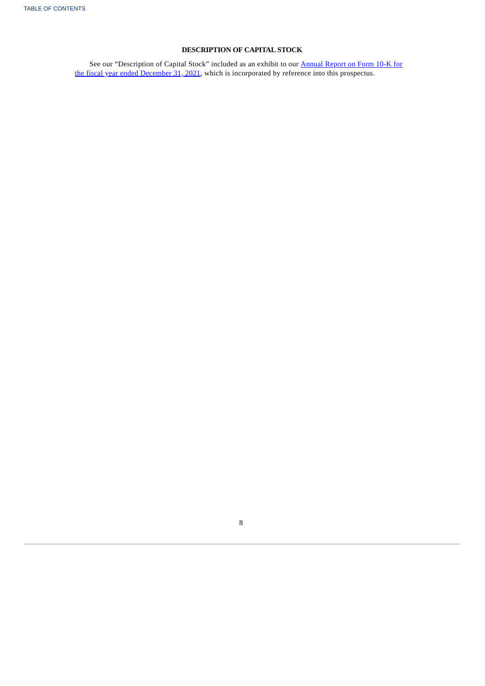## **DESCRIPTION OF CAPITAL STOCK**

<span id="page-13-0"></span>See our ["Description](http://www.sec.gov/ix?doc=/Archives/edgar/data/1837686/000183768622000006/vmeo-20211231.htm) of Capital Stock" included as an exhibit to our **Annual Report on Form 10-K** for the fiscal year ended December 31, 2021, which is incorporated by reference into this prospectus.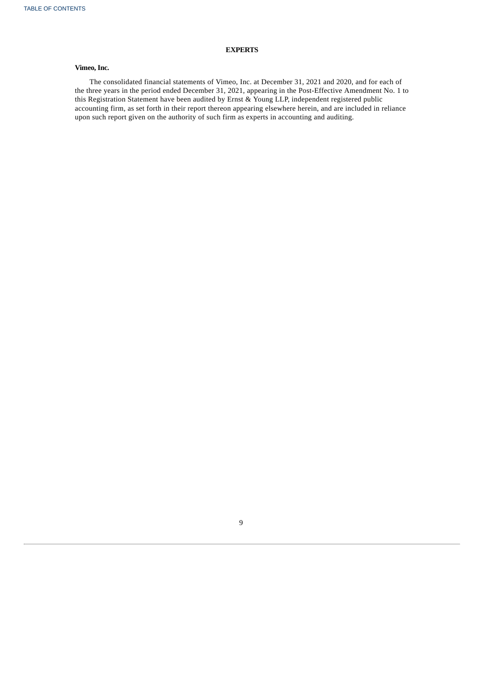## **EXPERTS**

## **Vimeo, Inc.**

<span id="page-14-0"></span>The consolidated financial statements of Vimeo, Inc. at December 31, 2021 and 2020, and for each of the three years in the period ended December 31, 2021, appearing in the Post-Effective Amendment No. 1 to this Registration Statement have been audited by Ernst & Young LLP, independent registered public accounting firm, as set forth in their report thereon appearing elsewhere herein, and are included in reliance upon such report given on the authority of such firm as experts in accounting and auditing.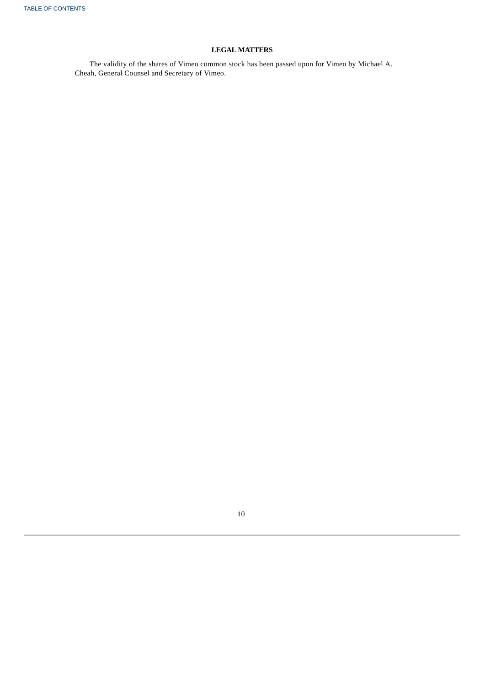## **LEGAL MATTERS**

<span id="page-15-0"></span>The validity of the shares of Vimeo common stock has been passed upon for Vimeo by Michael A. Cheah, General Counsel and Secretary of Vimeo.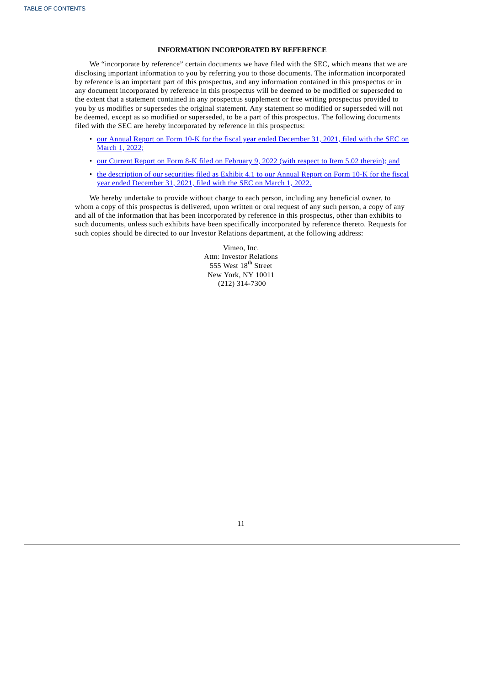## **INFORMATION INCORPORATED BY REFERENCE**

We "incorporate by reference" certain documents we have filed with the SEC, which means that we are disclosing important information to you by referring you to those documents. The information incorporated by reference is an important part of this prospectus, and any information contained in this prospectus or in any document incorporated by reference in this prospectus will be deemed to be modified or superseded to the extent that a statement contained in any prospectus supplement or free writing prospectus provided to you by us modifies or supersedes the original statement. Any statement so modified or superseded will not be deemed, except as so modified or superseded, to be a part of this prospectus. The following documents filed with the SEC are hereby incorporated by reference in this prospectus:

- our Annual Report on Form 10-K for the fiscal year ended [December](http://www.sec.gov/ix?doc=/Archives/edgar/data/1837686/000183768622000006/vmeo-20211231.htm) 31, 2021, filed with the SEC on March 1, 2022;
- our Current Report on Form 8-K filed on [February](https://www.sec.gov/ix?doc=/Archives/edgar/data/1837686/000183768622000003/vmeo-20220209.htm) 9, 2022 (with respect to Item 5.02 therein); and
- the [description](http://www.sec.gov/Archives/edgar/data/1837686/000183768622000006/exhibit41.htm) of our securities filed as Exhibit 4.1 to our Annual Report on Form 10-K for the fiscal year ended December 31, 2021, filed with the SEC on March 1, 2022.

We hereby undertake to provide without charge to each person, including any beneficial owner, to whom a copy of this prospectus is delivered, upon written or oral request of any such person, a copy of any and all of the information that has been incorporated by reference in this prospectus, other than exhibits to such documents, unless such exhibits have been specifically incorporated by reference thereto. Requests for such copies should be directed to our Investor Relations department, at the following address:

> Vimeo, Inc. Attn: Investor Relations 555 West  $18^{\rm th}$  Street New York, NY 10011 (212) 314-7300

<span id="page-16-0"></span>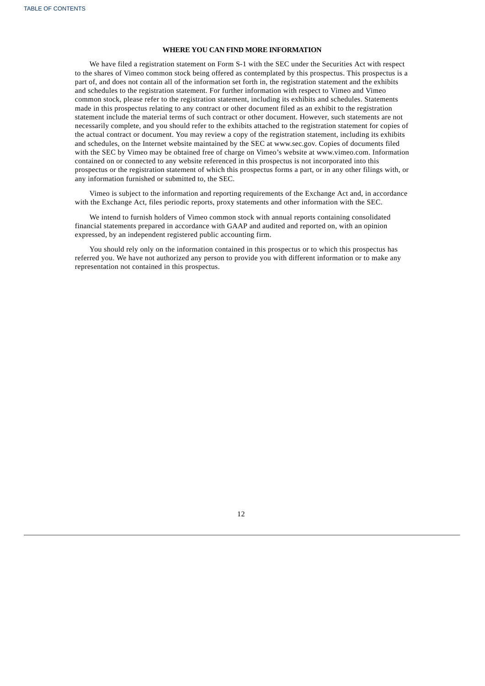### **WHERE YOU CAN FIND MORE INFORMATION**

We have filed a registration statement on Form S-1 with the SEC under the Securities Act with respect to the shares of Vimeo common stock being offered as contemplated by this prospectus. This prospectus is a part of, and does not contain all of the information set forth in, the registration statement and the exhibits and schedules to the registration statement. For further information with respect to Vimeo and Vimeo common stock, please refer to the registration statement, including its exhibits and schedules. Statements made in this prospectus relating to any contract or other document filed as an exhibit to the registration statement include the material terms of such contract or other document. However, such statements are not necessarily complete, and you should refer to the exhibits attached to the registration statement for copies of the actual contract or document. You may review a copy of the registration statement, including its exhibits and schedules, on the Internet website maintained by the SEC at www.sec.gov. Copies of documents filed with the SEC by Vimeo may be obtained free of charge on Vimeo's website at www.vimeo.com. Information contained on or connected to any website referenced in this prospectus is not incorporated into this prospectus or the registration statement of which this prospectus forms a part, or in any other filings with, or any information furnished or submitted to, the SEC.

Vimeo is subject to the information and reporting requirements of the Exchange Act and, in accordance with the Exchange Act, files periodic reports, proxy statements and other information with the SEC.

We intend to furnish holders of Vimeo common stock with annual reports containing consolidated financial statements prepared in accordance with GAAP and audited and reported on, with an opinion expressed, by an independent registered public accounting firm.

You should rely only on the information contained in this prospectus or to which this prospectus has referred you. We have not authorized any person to provide you with different information or to make any representation not contained in this prospectus.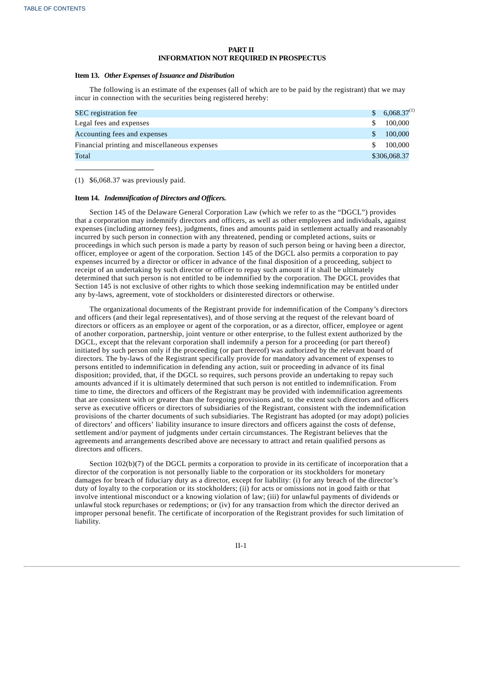### **PART II INFORMATION NOT REQUIRED IN PROSPECTUS**

### **Item 13.** *Other Expenses of Issuance and Distribution*

The following is an estimate of the expenses (all of which are to be paid by the registrant) that we may incur in connection with the securities being registered hereby:

| <b>SEC</b> registration fee                   | $6,068.37^{(1)}$ |
|-----------------------------------------------|------------------|
| Legal fees and expenses                       | 100,000          |
| Accounting fees and expenses                  | 100,000          |
| Financial printing and miscellaneous expenses | 100,000          |
| Total                                         | \$306,068.37     |

(1) \$6,068.37 was previously paid.

#### **Item 14.** *Indemnification of Directors and Officers.*

Section 145 of the Delaware General Corporation Law (which we refer to as the "DGCL") provides that a corporation may indemnify directors and officers, as well as other employees and individuals, against expenses (including attorney fees), judgments, fines and amounts paid in settlement actually and reasonably incurred by such person in connection with any threatened, pending or completed actions, suits or proceedings in which such person is made a party by reason of such person being or having been a director, officer, employee or agent of the corporation. Section 145 of the DGCL also permits a corporation to pay expenses incurred by a director or officer in advance of the final disposition of a proceeding, subject to receipt of an undertaking by such director or officer to repay such amount if it shall be ultimately determined that such person is not entitled to be indemnified by the corporation. The DGCL provides that Section 145 is not exclusive of other rights to which those seeking indemnification may be entitled under any by-laws, agreement, vote of stockholders or disinterested directors or otherwise.

The organizational documents of the Registrant provide for indemnification of the Company's directors and officers (and their legal representatives), and of those serving at the request of the relevant board of directors or officers as an employee or agent of the corporation, or as a director, officer, employee or agent of another corporation, partnership, joint venture or other enterprise, to the fullest extent authorized by the DGCL, except that the relevant corporation shall indemnify a person for a proceeding (or part thereof) initiated by such person only if the proceeding (or part thereof) was authorized by the relevant board of directors. The by-laws of the Registrant specifically provide for mandatory advancement of expenses to persons entitled to indemnification in defending any action, suit or proceeding in advance of its final disposition; provided, that, if the DGCL so requires, such persons provide an undertaking to repay such amounts advanced if it is ultimately determined that such person is not entitled to indemnification. From time to time, the directors and officers of the Registrant may be provided with indemnification agreements that are consistent with or greater than the foregoing provisions and, to the extent such directors and officers serve as executive officers or directors of subsidiaries of the Registrant, consistent with the indemnification provisions of the charter documents of such subsidiaries. The Registrant has adopted (or may adopt) policies of directors' and officers' liability insurance to insure directors and officers against the costs of defense, settlement and/or payment of judgments under certain circumstances. The Registrant believes that the agreements and arrangements described above are necessary to attract and retain qualified persons as directors and officers.

Section 102(b)(7) of the DGCL permits a corporation to provide in its certificate of incorporation that a director of the corporation is not personally liable to the corporation or its stockholders for monetary damages for breach of fiduciary duty as a director, except for liability: (i) for any breach of the director's duty of loyalty to the corporation or its stockholders; (ii) for acts or omissions not in good faith or that involve intentional misconduct or a knowing violation of law; (iii) for unlawful payments of dividends or unlawful stock repurchases or redemptions; or (iv) for any transaction from which the director derived an improper personal benefit. The certificate of incorporation of the Registrant provides for such limitation of liability.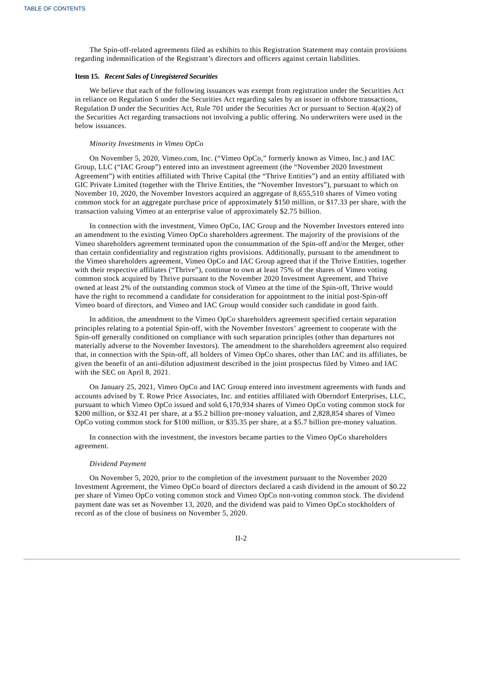The Spin-off-related agreements filed as exhibits to this Registration Statement may contain provisions regarding indemnification of the Registrant's directors and officers against certain liabilities.

### **Item 15.** *Recent Sales of Unregistered Securities*

We believe that each of the following issuances was exempt from registration under the Securities Act in reliance on Regulation S under the Securities Act regarding sales by an issuer in offshore transactions, Regulation D under the Securities Act, Rule 701 under the Securities Act or pursuant to Section 4(a)(2) of the Securities Act regarding transactions not involving a public offering. No underwriters were used in the below issuances.

#### *Minority Investments in Vimeo OpCo*

On November 5, 2020, Vimeo.com, Inc. ("Vimeo OpCo," formerly known as Vimeo, Inc.) and IAC Group, LLC ("IAC Group") entered into an investment agreement (the "November 2020 Investment Agreement") with entities affiliated with Thrive Capital (the "Thrive Entities") and an entity affiliated with GIC Private Limited (together with the Thrive Entities, the "November Investors"), pursuant to which on November 10, 2020, the November Investors acquired an aggregate of 8,655,510 shares of Vimeo voting common stock for an aggregate purchase price of approximately \$150 million, or \$17.33 per share, with the transaction valuing Vimeo at an enterprise value of approximately \$2.75 billion.

In connection with the investment, Vimeo OpCo, IAC Group and the November Investors entered into an amendment to the existing Vimeo OpCo shareholders agreement. The majority of the provisions of the Vimeo shareholders agreement terminated upon the consummation of the Spin-off and/or the Merger, other than certain confidentiality and registration rights provisions. Additionally, pursuant to the amendment to the Vimeo shareholders agreement, Vimeo OpCo and IAC Group agreed that if the Thrive Entities, together with their respective affiliates ("Thrive"), continue to own at least 75% of the shares of Vimeo voting common stock acquired by Thrive pursuant to the November 2020 Investment Agreement, and Thrive owned at least 2% of the outstanding common stock of Vimeo at the time of the Spin-off, Thrive would have the right to recommend a candidate for consideration for appointment to the initial post-Spin-off Vimeo board of directors, and Vimeo and IAC Group would consider such candidate in good faith.

In addition, the amendment to the Vimeo OpCo shareholders agreement specified certain separation principles relating to a potential Spin-off, with the November Investors' agreement to cooperate with the Spin-off generally conditioned on compliance with such separation principles (other than departures not materially adverse to the November Investors). The amendment to the shareholders agreement also required that, in connection with the Spin-off, all holders of Vimeo OpCo shares, other than IAC and its affiliates, be given the benefit of an anti-dilution adjustment described in the joint prospectus filed by Vimeo and IAC with the SEC on April 8, 2021.

On January 25, 2021, Vimeo OpCo and IAC Group entered into investment agreements with funds and accounts advised by T. Rowe Price Associates, Inc. and entities affiliated with Oberndorf Enterprises, LLC, pursuant to which Vimeo OpCo issued and sold 6,170,934 shares of Vimeo OpCo voting common stock for \$200 million, or \$32.41 per share, at a \$5.2 billion pre-money valuation, and 2,828,854 shares of Vimeo OpCo voting common stock for \$100 million, or \$35.35 per share, at a \$5.7 billion pre-money valuation.

In connection with the investment, the investors became parties to the Vimeo OpCo shareholders agreement.

#### *Dividend Payment*

On November 5, 2020, prior to the completion of the investment pursuant to the November 2020 Investment Agreement, the Vimeo OpCo board of directors declared a cash dividend in the amount of \$0.22 per share of Vimeo OpCo voting common stock and Vimeo OpCo non-voting common stock. The dividend payment date was set as November 13, 2020, and the dividend was paid to Vimeo OpCo stockholders of record as of the close of business on November 5, 2020.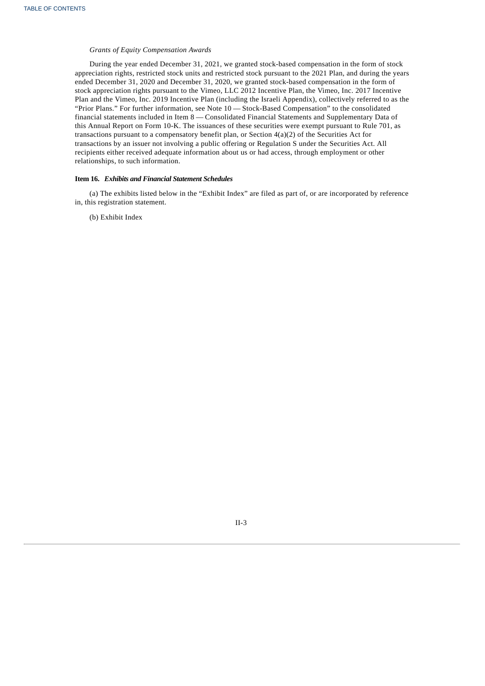### *Grants of Equity Compensation Awards*

During the year ended December 31, 2021, we granted stock-based compensation in the form of stock appreciation rights, restricted stock units and restricted stock pursuant to the 2021 Plan, and during the years ended December 31, 2020 and December 31, 2020, we granted stock-based compensation in the form of stock appreciation rights pursuant to the Vimeo, LLC 2012 Incentive Plan, the Vimeo, Inc. 2017 Incentive Plan and the Vimeo, Inc. 2019 Incentive Plan (including the Israeli Appendix), collectively referred to as the "Prior Plans." For further information, see Note 10 — Stock-Based Compensation" to the consolidated financial statements included in Item 8 — Consolidated Financial Statements and Supplementary Data of this Annual Report on Form 10-K. The issuances of these securities were exempt pursuant to Rule 701, as transactions pursuant to a compensatory benefit plan, or Section 4(a)(2) of the Securities Act for transactions by an issuer not involving a public offering or Regulation S under the Securities Act. All recipients either received adequate information about us or had access, through employment or other relationships, to such information.

### **Item 16.** *Exhibits and Financial Statement Schedules*

(a) The exhibits listed below in the "Exhibit Index" are filed as part of, or are incorporated by reference in, this registration statement.

(b) Exhibit Index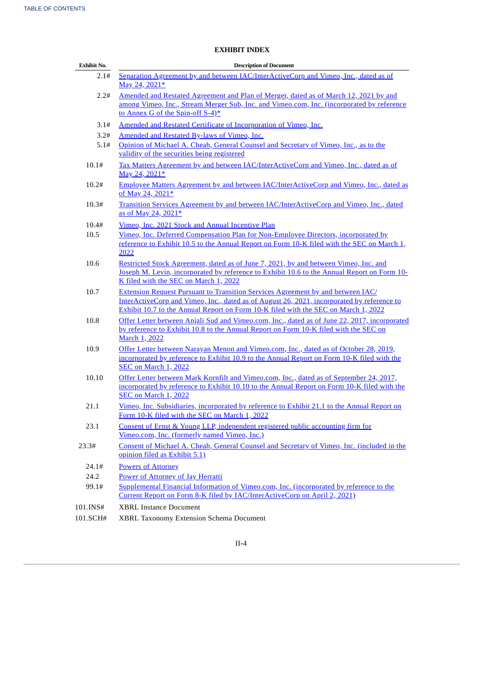## **EXHIBIT INDEX**

| Exhibit No. | <b>Description of Document</b>                                                                                                                                                                                                                                             |  |  |  |  |
|-------------|----------------------------------------------------------------------------------------------------------------------------------------------------------------------------------------------------------------------------------------------------------------------------|--|--|--|--|
| 2.1#        | Separation Agreement by and between IAC/InterActiveCorp and Vimeo, Inc., dated as of<br>May 24, 2021*                                                                                                                                                                      |  |  |  |  |
| 2.2#        | Amended and Restated Agreement and Plan of Merger, dated as of March 12, 2021 by and<br>among Vimeo, Inc., Stream Merger Sub, Inc. and Vimeo.com, Inc. (incorporated by reference<br>to Annex G of the Spin-off S-4)*                                                      |  |  |  |  |
| 3.1#        | Amended and Restated Certificate of Incorporation of Vimeo, Inc.                                                                                                                                                                                                           |  |  |  |  |
| 3.2#        | Amended and Restated By-laws of Vimeo, Inc.                                                                                                                                                                                                                                |  |  |  |  |
| 5.1#        | Opinion of Michael A. Cheah, General Counsel and Secretary of Vimeo, Inc., as to the<br>validity of the securities being registered                                                                                                                                        |  |  |  |  |
| 10.1#       | Tax Matters Agreement by and between IAC/InterActiveCorp and Vimeo, Inc., dated as of<br>May 24, 2021*                                                                                                                                                                     |  |  |  |  |
| 10.2#       | <b>Employee Matters Agreement by and between IAC/InterActiveCorp and Vimeo, Inc., dated as</b><br>of May 24, 2021*                                                                                                                                                         |  |  |  |  |
| 10.3#       | Transition Services Agreement by and between IAC/InterActiveCorp and Vimeo, Inc., dated<br>as of May 24, 2021*                                                                                                                                                             |  |  |  |  |
| 10.4#       | Vimeo, Inc. 2021 Stock and Annual Incentive Plan                                                                                                                                                                                                                           |  |  |  |  |
| 10.5        | Vimeo, Inc. Deferred Compensation Plan for Non-Employee Directors, incorporated by<br>reference to Exhibit 10.5 to the Annual Report on Form 10-K filed with the SEC on March 1,<br>2022                                                                                   |  |  |  |  |
| 10.6        | Restricted Stock Agreement, dated as of June 7, 2021, by and between Vimeo, Inc. and<br>Joseph M. Levin, incorporated by reference to Exhibit 10.6 to the Annual Report on Form 10-<br>K filed with the SEC on March 1, 2022                                               |  |  |  |  |
| 10.7        | <b>Extension Request Pursuant to Transition Services Agreement by and between IAC/</b><br>InterActiveCorp and Vimeo, Inc., dated as of August 26, 2021, incorporated by reference to<br>Exhibit 10.7 to the Annual Report on Form 10-K filed with the SEC on March 1, 2022 |  |  |  |  |
| 10.8        | Offer Letter between Anjali Sud and Vimeo.com, Inc., dated as of June 22, 2017, incorporated<br>by reference to Exhibit 10.8 to the Annual Report on Form 10-K filed with the SEC on<br>March 1, 2022                                                                      |  |  |  |  |
| 10.9        | Offer Letter between Narayan Menon and Vimeo.com, Inc., dated as of October 28, 2019,<br>incorporated by reference to Exhibit 10.9 to the Annual Report on Form 10-K filed with the<br><b>SEC on March 1, 2022</b>                                                         |  |  |  |  |
| 10.10       | Offer Letter between Mark Kornfilt and Vimeo.com, Inc., dated as of September 24, 2017,<br>incorporated by reference to Exhibit 10.10 to the Annual Report on Form 10-K filed with the<br><b>SEC on March 1, 2022</b>                                                      |  |  |  |  |
| 21.1        | Vimeo, Inc. Subsidiaries, incorporated by reference to Exhibit 21.1 to the Annual Report on<br>Form 10-K filed with the SEC on March 1, 2022                                                                                                                               |  |  |  |  |
| 23.1        | Consent of Ernst & Young LLP, independent registered public accounting firm for<br>Vimeo.com, Inc. (formerly named Vimeo, Inc.)                                                                                                                                            |  |  |  |  |
| 23.3#       | Consent of Michael A. Cheah, General Counsel and Secretary of Vimeo, Inc. (included in the<br>opinion filed as Exhibit 5.1)                                                                                                                                                |  |  |  |  |
| 24.1#       | <b>Powers of Attorney</b>                                                                                                                                                                                                                                                  |  |  |  |  |
| 24.2        | Power of Attorney of Jay Herratti                                                                                                                                                                                                                                          |  |  |  |  |
| 99.1#       | Supplemental Financial Information of Vimeo.com, Inc. (incorporated by reference to the<br>Current Report on Form 8-K filed by IAC/InterActiveCorp on April 2, 2021)                                                                                                       |  |  |  |  |
| 101.INS#    | <b>XBRL Instance Document</b>                                                                                                                                                                                                                                              |  |  |  |  |
| 101.SCH#    | XBRL Taxonomy Extension Schema Document                                                                                                                                                                                                                                    |  |  |  |  |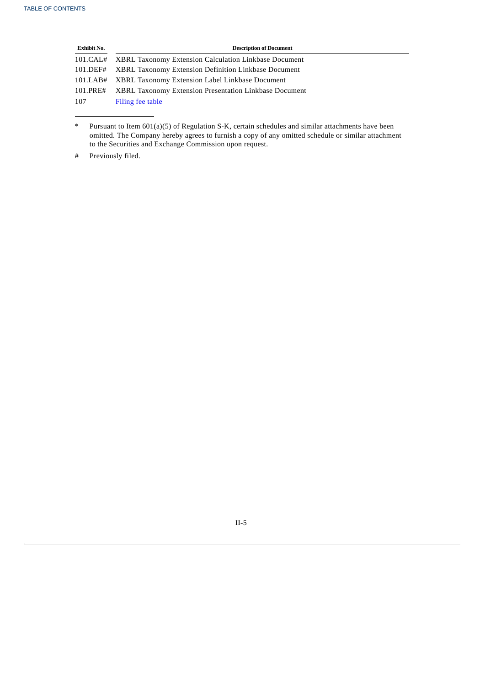| <b>Exhibit No.</b> | <b>Description of Document</b>                                   |
|--------------------|------------------------------------------------------------------|
|                    | 101.CAL# XBRL Taxonomy Extension Calculation Linkbase Document   |
|                    | 101.DEF# XBRL Taxonomy Extension Definition Linkbase Document    |
|                    | 101.LAB# XBRL Taxonomy Extension Label Linkbase Document         |
|                    | 101. PRE# XBRL Taxonomy Extension Presentation Linkbase Document |
| 107                | Filing fee table                                                 |

<sup>\*</sup> Pursuant to Item 601(a)(5) of Regulation S-K, certain schedules and similar attachments have been omitted. The Company hereby agrees to furnish a copy of any omitted schedule or similar attachment to the Securities and Exchange Commission upon request.

<sup>#</sup> Previously filed.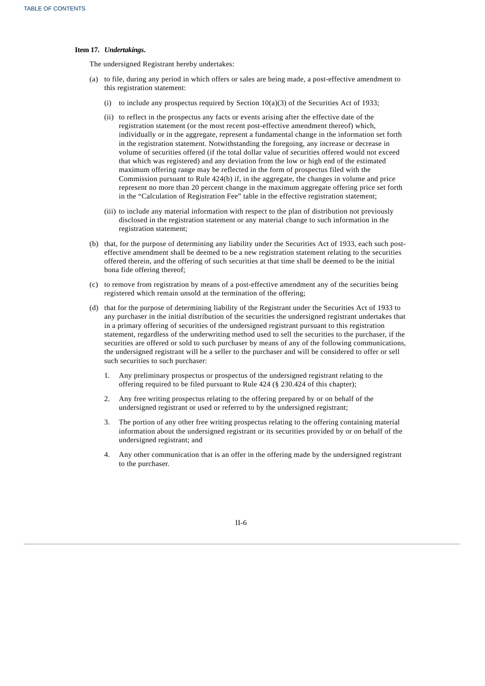### **Item 17.** *Undertakings***.**

The undersigned Registrant hereby undertakes:

- (a) to file, during any period in which offers or sales are being made, a post-effective amendment to this registration statement:
	- (i) to include any prospectus required by Section 10(a)(3) of the Securities Act of 1933;
	- (ii) to reflect in the prospectus any facts or events arising after the effective date of the registration statement (or the most recent post-effective amendment thereof) which, individually or in the aggregate, represent a fundamental change in the information set forth in the registration statement. Notwithstanding the foregoing, any increase or decrease in volume of securities offered (if the total dollar value of securities offered would not exceed that which was registered) and any deviation from the low or high end of the estimated maximum offering range may be reflected in the form of prospectus filed with the Commission pursuant to Rule 424(b) if, in the aggregate, the changes in volume and price represent no more than 20 percent change in the maximum aggregate offering price set forth in the "Calculation of Registration Fee" table in the effective registration statement;
	- (iii) to include any material information with respect to the plan of distribution not previously disclosed in the registration statement or any material change to such information in the registration statement;
- (b) that, for the purpose of determining any liability under the Securities Act of 1933, each such posteffective amendment shall be deemed to be a new registration statement relating to the securities offered therein, and the offering of such securities at that time shall be deemed to be the initial bona fide offering thereof;
- (c) to remove from registration by means of a post-effective amendment any of the securities being registered which remain unsold at the termination of the offering;
- (d) that for the purpose of determining liability of the Registrant under the Securities Act of 1933 to any purchaser in the initial distribution of the securities the undersigned registrant undertakes that in a primary offering of securities of the undersigned registrant pursuant to this registration statement, regardless of the underwriting method used to sell the securities to the purchaser, if the securities are offered or sold to such purchaser by means of any of the following communications, the undersigned registrant will be a seller to the purchaser and will be considered to offer or sell such securities to such purchaser:
	- 1. Any preliminary prospectus or prospectus of the undersigned registrant relating to the offering required to be filed pursuant to Rule 424 (§ 230.424 of this chapter);
	- 2. Any free writing prospectus relating to the offering prepared by or on behalf of the undersigned registrant or used or referred to by the undersigned registrant;
	- 3. The portion of any other free writing prospectus relating to the offering containing material information about the undersigned registrant or its securities provided by or on behalf of the undersigned registrant; and
	- 4. Any other communication that is an offer in the offering made by the undersigned registrant to the purchaser.

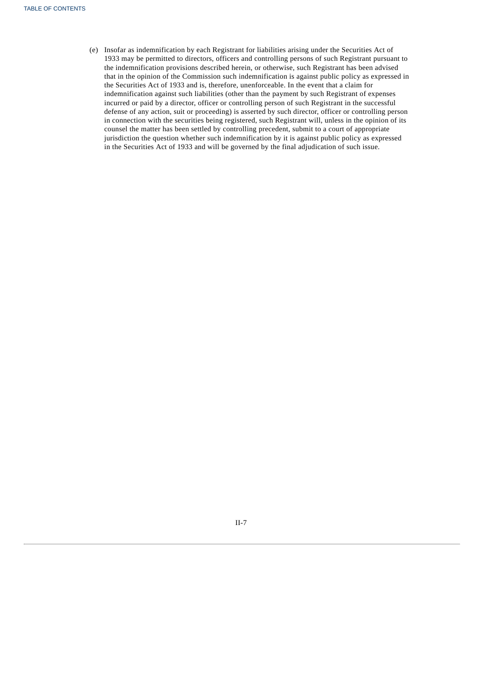(e) Insofar as indemnification by each Registrant for liabilities arising under the Securities Act of 1933 may be permitted to directors, officers and controlling persons of such Registrant pursuant to the indemnification provisions described herein, or otherwise, such Registrant has been advised that in the opinion of the Commission such indemnification is against public policy as expressed in the Securities Act of 1933 and is, therefore, unenforceable. In the event that a claim for indemnification against such liabilities (other than the payment by such Registrant of expenses incurred or paid by a director, officer or controlling person of such Registrant in the successful defense of any action, suit or proceeding) is asserted by such director, officer or controlling person in connection with the securities being registered, such Registrant will, unless in the opinion of its counsel the matter has been settled by controlling precedent, submit to a court of appropriate jurisdiction the question whether such indemnification by it is against public policy as expressed in the Securities Act of 1933 and will be governed by the final adjudication of such issue.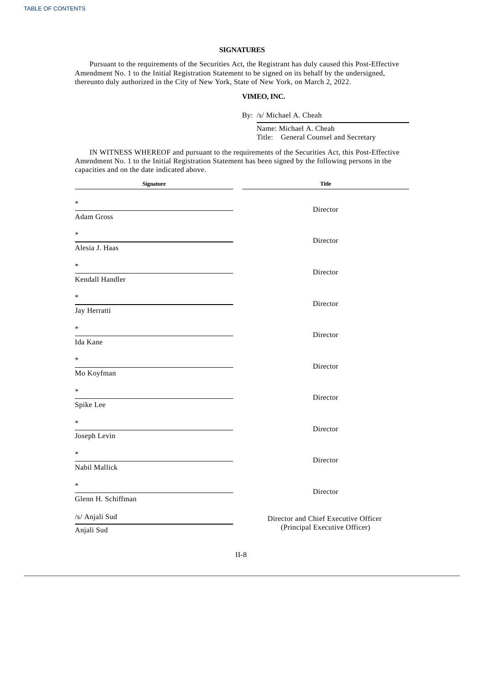## **SIGNATURES**

Pursuant to the requirements of the Securities Act, the Registrant has duly caused this Post-Effective Amendment No. 1 to the Initial Registration Statement to be signed on its behalf by the undersigned, thereunto duly authorized in the City of New York, State of New York, on March 2, 2022.

## **VIMEO, INC.**

By: /s/ Michael A. Cheah

Name: Michael A. Cheah Title: General Counsel and Secretary

IN WITNESS WHEREOF and pursuant to the requirements of the Securities Act, this Post-Effective Amendment No. 1 to the Initial Registration Statement has been signed by the following persons in the capacities and on the date indicated above.

| Signature                    | <b>Title</b>                                                          |
|------------------------------|-----------------------------------------------------------------------|
| $\ast$<br>Adam Gross         | Director                                                              |
| $\ast$<br>Alesia J. Haas     | Director                                                              |
| $\ast$<br>Kendall Handler    | Director                                                              |
| $\ast$<br>Jay Herratti       | Director                                                              |
| $\ast$<br>Ida Kane           | Director                                                              |
| $\ast$<br>Mo Koyfman         | Director                                                              |
| $\ast$<br>Spike Lee          | Director                                                              |
| $\ast$<br>Joseph Levin       | Director                                                              |
| $\ast$<br>Nabil Mallick      | Director                                                              |
| $\ast$<br>Glenn H. Schiffman | Director                                                              |
| /s/ Anjali Sud<br>Anjali Sud | Director and Chief Executive Officer<br>(Principal Executive Officer) |
|                              | TT O                                                                  |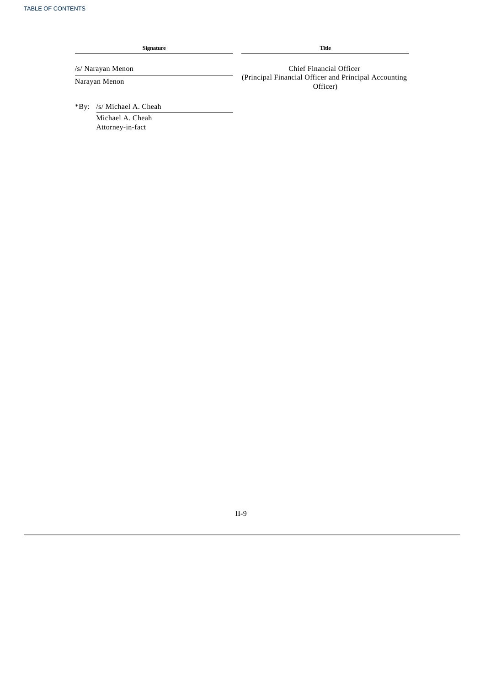Attorney-in-fact

| <b>Signature</b>                | Title                                                             |
|---------------------------------|-------------------------------------------------------------------|
| /s/ Narayan Menon               | Chief Financial Officer                                           |
| Narayan Menon                   | (Principal Financial Officer and Principal Accounting<br>Officer) |
| /s/ Michael A. Cheah<br>$*$ By: |                                                                   |
| Michael A. Cheah                |                                                                   |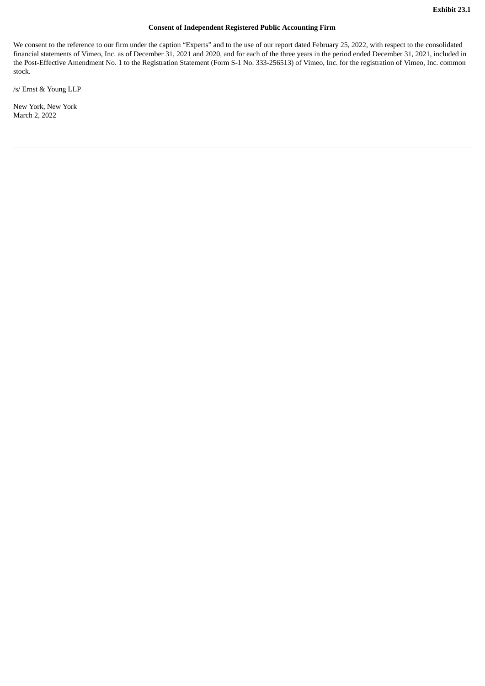## **Consent of Independent Registered Public Accounting Firm**

<span id="page-27-0"></span>We consent to the reference to our firm under the caption "Experts" and to the use of our report dated February 25, 2022, with respect to the consolidated financial statements of Vimeo, Inc. as of December 31, 2021 and 2020, and for each of the three years in the period ended December 31, 2021, included in the Post-Effective Amendment No. 1 to the Registration Statement (Form S-1 No. 333-256513) of Vimeo, Inc. for the registration of Vimeo, Inc. common stock.

/s/ Ernst & Young LLP

New York, New York March 2, 2022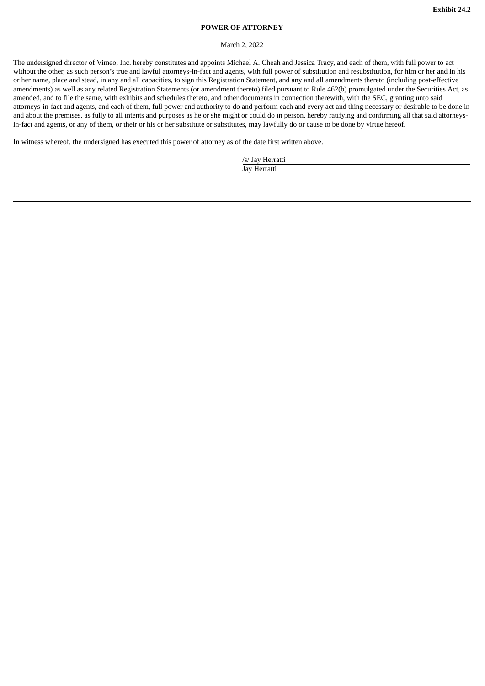## **POWER OF ATTORNEY**

#### March 2, 2022

<span id="page-28-0"></span>The undersigned director of Vimeo, Inc. hereby constitutes and appoints Michael A. Cheah and Jessica Tracy, and each of them, with full power to act without the other, as such person's true and lawful attorneys-in-fact and agents, with full power of substitution and resubstitution, for him or her and in his or her name, place and stead, in any and all capacities, to sign this Registration Statement, and any and all amendments thereto (including post-effective amendments) as well as any related Registration Statements (or amendment thereto) filed pursuant to Rule 462(b) promulgated under the Securities Act, as amended, and to file the same, with exhibits and schedules thereto, and other documents in connection therewith, with the SEC, granting unto said attorneys-in-fact and agents, and each of them, full power and authority to do and perform each and every act and thing necessary or desirable to be done in and about the premises, as fully to all intents and purposes as he or she might or could do in person, hereby ratifying and confirming all that said attorneysin-fact and agents, or any of them, or their or his or her substitute or substitutes, may lawfully do or cause to be done by virtue hereof.

In witness whereof, the undersigned has executed this power of attorney as of the date first written above.

/s/ Jay Herratti Jay Herratti